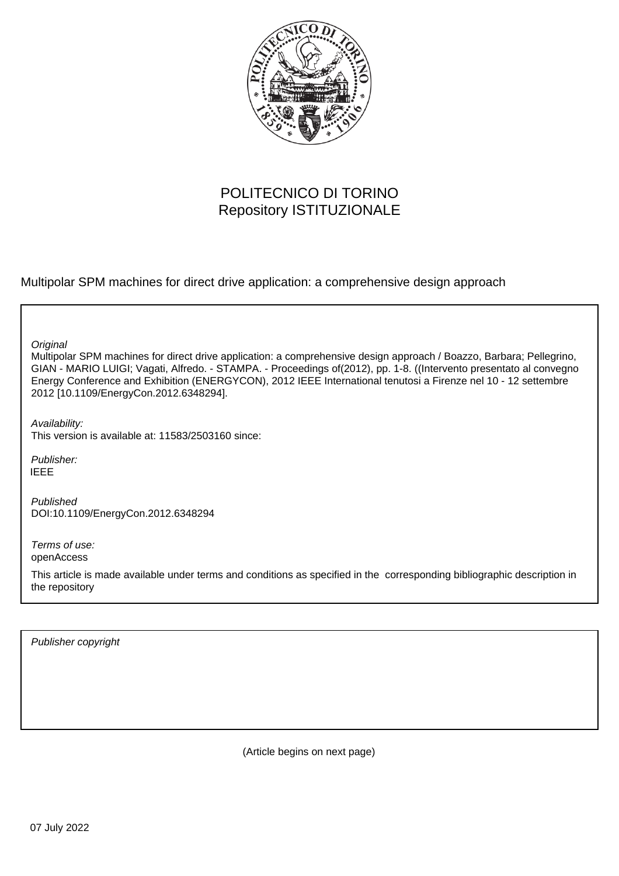

# POLITECNICO DI TORINO Repository ISTITUZIONALE

Multipolar SPM machines for direct drive application: a comprehensive design approach

**Original** 

Multipolar SPM machines for direct drive application: a comprehensive design approach / Boazzo, Barbara; Pellegrino, GIAN - MARIO LUIGI; Vagati, Alfredo. - STAMPA. - Proceedings of(2012), pp. 1-8. ((Intervento presentato al convegno Energy Conference and Exhibition (ENERGYCON), 2012 IEEE International tenutosi a Firenze nel 10 - 12 settembre 2012 [10.1109/EnergyCon.2012.6348294].

Availability: This version is available at: 11583/2503160 since:

Publisher: IEEE

Published DOI:10.1109/EnergyCon.2012.6348294

Terms of use: openAccess

This article is made available under terms and conditions as specified in the corresponding bibliographic description in the repository

Publisher copyright

(Article begins on next page)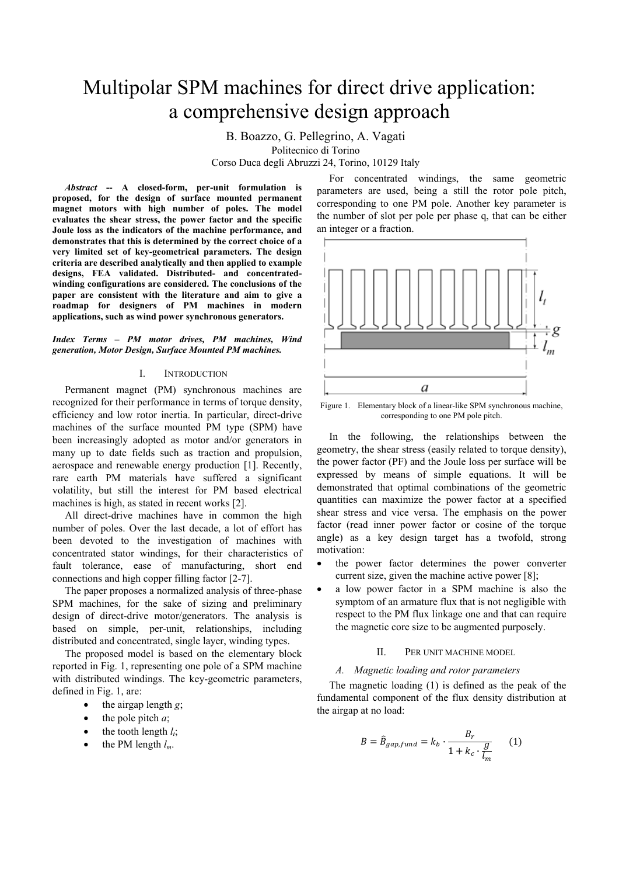# Multipolar SPM machines for direct drive application: a comprehensive design approach

B. Boazzo, G. Pellegrino, A. Vagati Politecnico di Torino

Corso Duca degli Abruzzi 24, Torino, 10129 Italy

*Abstract* **-- A closed-form, per-unit formulation is proposed, for the design of surface mounted permanent magnet motors with high number of poles. The model evaluates the shear stress, the power factor and the specific Joule loss as the indicators of the machine performance, and demonstrates that this is determined by the correct choice of a very limited set of key-geometrical parameters. The design criteria are described analytically and then applied to example designs, FEA validated. Distributed- and concentratedwinding configurations are considered. The conclusions of the paper are consistent with the literature and aim to give a roadmap for designers of PM machines in modern applications, such as wind power synchronous generators.** 

*Index Terms – PM motor drives, PM machines, Wind generation, Motor Design, Surface Mounted PM machines.* 

#### I. INTRODUCTION

Permanent magnet (PM) synchronous machines are recognized for their performance in terms of torque density, efficiency and low rotor inertia. In particular, direct-drive machines of the surface mounted PM type (SPM) have been increasingly adopted as motor and/or generators in many up to date fields such as traction and propulsion, aerospace and renewable energy production [1]. Recently, rare earth PM materials have suffered a significant volatility, but still the interest for PM based electrical machines is high, as stated in recent works [2].

All direct-drive machines have in common the high number of poles. Over the last decade, a lot of effort has been devoted to the investigation of machines with concentrated stator windings, for their characteristics of fault tolerance, ease of manufacturing, short end connections and high copper filling factor [2-7].

The paper proposes a normalized analysis of three-phase SPM machines, for the sake of sizing and preliminary design of direct-drive motor/generators. The analysis is based on simple, per-unit, relationships, including distributed and concentrated, single layer, winding types.

The proposed model is based on the elementary block reported in Fig. 1, representing one pole of a SPM machine with distributed windings. The key-geometric parameters, defined in Fig. 1, are:

- the airgap length *g*;
- the pole pitch  $a$ ;
- the tooth length  $l_i$ ;
- the PM length  $l_m$ .

For concentrated windings, the same geometric parameters are used, being a still the rotor pole pitch, corresponding to one PM pole. Another key parameter is the number of slot per pole per phase q, that can be either an integer or a fraction.



Figure 1. Elementary block of a linear-like SPM synchronous machine, corresponding to one PM pole pitch.

In the following, the relationships between the geometry, the shear stress (easily related to torque density), the power factor (PF) and the Joule loss per surface will be expressed by means of simple equations. It will be demonstrated that optimal combinations of the geometric quantities can maximize the power factor at a specified shear stress and vice versa. The emphasis on the power factor (read inner power factor or cosine of the torque angle) as a key design target has a twofold, strong motivation:

- the power factor determines the power converter current size, given the machine active power [8];
- a low power factor in a SPM machine is also the symptom of an armature flux that is not negligible with respect to the PM flux linkage one and that can require the magnetic core size to be augmented purposely.

#### II. PER UNIT MACHINE MODEL

#### *A. Magnetic loading and rotor parameters*

The magnetic loading (1) is defined as the peak of the fundamental component of the flux density distribution at the airgap at no load:

$$
B = \hat{B}_{gap, fund} = k_b \cdot \frac{B_r}{1 + k_c \cdot \frac{g}{l_m}}
$$
 (1)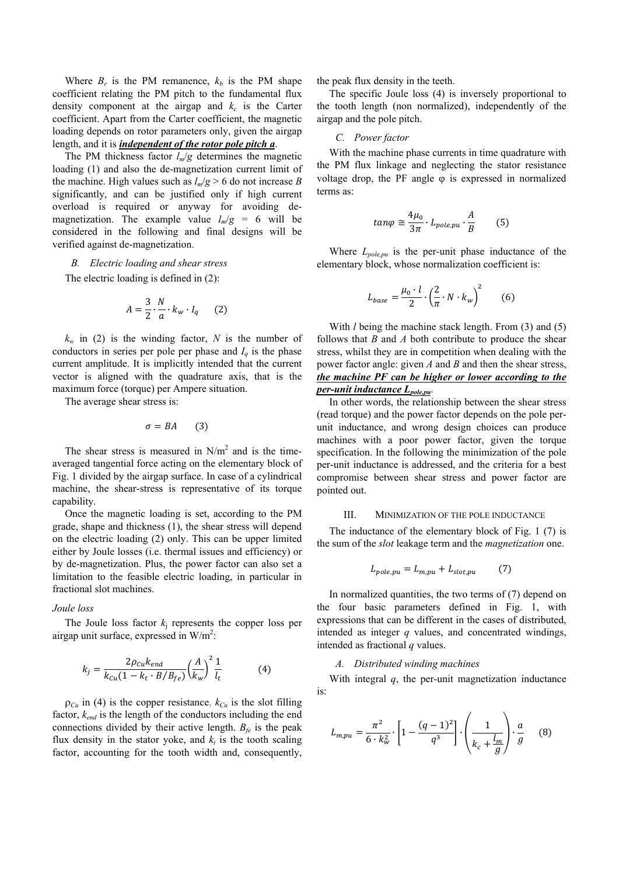Where  $B_r$  is the PM remanence,  $k_b$  is the PM shape coefficient relating the PM pitch to the fundamental flux density component at the airgap and  $k_c$  is the Carter coefficient. Apart from the Carter coefficient, the magnetic loading depends on rotor parameters only, given the airgap length, and it is *independent of the rotor pole pitch a*.

The PM thickness factor  $l_m/g$  determines the magnetic loading (1) and also the de-magnetization current limit of the machine. High values such as  $l_m/g > 6$  do not increase *B* significantly, and can be justified only if high current overload is required or anyway for avoiding demagnetization. The example value  $l_m/g = 6$  will be considered in the following and final designs will be verified against de-magnetization.

#### *B. Electric loading and shear stress*

The electric loading is defined in (2):

$$
A = \frac{3}{2} \cdot \frac{N}{a} \cdot k_w \cdot I_q \qquad (2)
$$

 $k_w$  in (2) is the winding factor, *N* is the number of conductors in series per pole per phase and  $I_q$  is the phase current amplitude. It is implicitly intended that the current vector is aligned with the quadrature axis, that is the maximum force (torque) per Ampere situation.

The average shear stress is:

$$
\sigma = BA \qquad (3)
$$

The shear stress is measured in  $N/m^2$  and is the timeaveraged tangential force acting on the elementary block of Fig. 1 divided by the airgap surface. In case of a cylindrical machine, the shear-stress is representative of its torque capability.

Once the magnetic loading is set, according to the PM grade, shape and thickness (1), the shear stress will depend on the electric loading (2) only. This can be upper limited either by Joule losses (i.e. thermal issues and efficiency) or by de-magnetization. Plus, the power factor can also set a limitation to the feasible electric loading, in particular in fractional slot machines.

#### *Joule loss*

The Joule loss factor  $k_i$  represents the copper loss per airgap unit surface, expressed in  $W/m^2$ :

$$
k_{j} = \frac{2\rho_{cu}k_{end}}{k_{cu}(1 - k_{t} \cdot B/B_{fe})} \left(\frac{A}{k_{w}}\right)^{2} \frac{1}{l_{t}}
$$
(4)

 $\rho_{Cu}$  in (4) is the copper resistance,  $k_{Cu}$  is the slot filling factor, *kend* is the length of the conductors including the end connections divided by their active length.  $B_f$  is the peak flux density in the stator yoke, and  $k_t$  is the tooth scaling factor, accounting for the tooth width and, consequently,

the peak flux density in the teeth.

The specific Joule loss (4) is inversely proportional to the tooth length (non normalized), independently of the airgap and the pole pitch.

#### *C. Power factor*

With the machine phase currents in time quadrature with the PM flux linkage and neglecting the stator resistance voltage drop, the PF angle ϕ is expressed in normalized terms as:

$$
tan \varphi \cong \frac{4\mu_0}{3\pi} \cdot L_{pole,pu} \cdot \frac{A}{B} \qquad (5)
$$

Where *Lpole,pu* is the per-unit phase inductance of the elementary block, whose normalization coefficient is:

$$
L_{base} = \frac{\mu_0 \cdot l}{2} \cdot \left(\frac{2}{\pi} \cdot N \cdot k_w\right)^2 \tag{6}
$$

With *l* being the machine stack length. From (3) and (5) follows that *B* and *A* both contribute to produce the shear stress, whilst they are in competition when dealing with the power factor angle: given *A* and *B* and then the shear stress, *the machine PF can be higher or lower according to the per-unit inductance Lpole,pu*.

In other words, the relationship between the shear stress (read torque) and the power factor depends on the pole perunit inductance, and wrong design choices can produce machines with a poor power factor, given the torque specification. In the following the minimization of the pole per-unit inductance is addressed, and the criteria for a best compromise between shear stress and power factor are pointed out.

#### III. MINIMIZATION OF THE POLE INDUCTANCE

The inductance of the elementary block of Fig. 1 (7) is the sum of the *slot* leakage term and the *magnetization* one.

$$
L_{pole,pu} = L_{m,pu} + L_{slot,pu} \tag{7}
$$

In normalized quantities, the two terms of (7) depend on the four basic parameters defined in Fig. 1, with expressions that can be different in the cases of distributed, intended as integer *q* values, and concentrated windings, intended as fractional *q* values.

#### *A. Distributed winding machines*

With integral *q*, the per-unit magnetization inductance is:

$$
L_{m,pu} = \frac{\pi^2}{6 \cdot k_w^2} \cdot \left[ 1 - \frac{(q-1)^2}{q^3} \right] \cdot \left( \frac{1}{k_c + \frac{l_m}{g}} \right) \cdot \frac{a}{g} \quad (8)
$$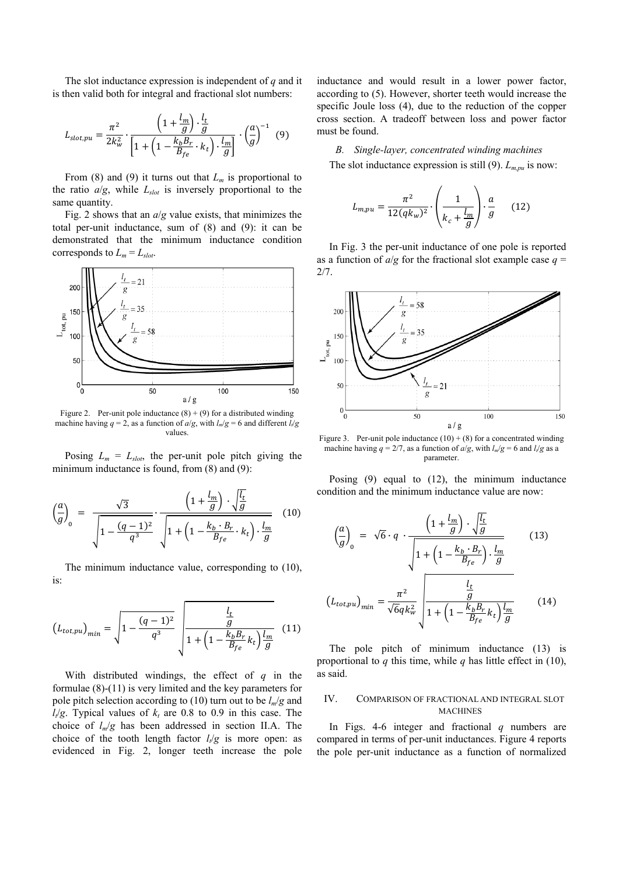The slot inductance expression is independent of *q* and it is then valid both for integral and fractional slot numbers:

$$
L_{slot,pu} = \frac{\pi^2}{2k_w^2} \cdot \frac{\left(1 + \frac{l_m}{g}\right) \cdot \frac{l_t}{g}}{\left[1 + \left(1 - \frac{k_b B_r}{B_{fe}} \cdot k_t\right) \cdot \frac{l_m}{g}\right]} \cdot \left(\frac{a}{g}\right)^{-1} \tag{9}
$$

From (8) and (9) it turns out that  $L_m$  is proportional to the ratio  $a/g$ , while  $L_{slot}$  is inversely proportional to the same quantity.

Fig. 2 shows that an *a*/*g* value exists, that minimizes the total per-unit inductance, sum of (8) and (9): it can be demonstrated that the minimum inductance condition corresponds to  $L_m = L_{slot}$ .



Figure 2. Per-unit pole inductance  $(8) + (9)$  for a distributed winding machine having  $q = 2$ , as a function of  $a/g$ , with  $l_m/g = 6$  and different  $l_v/g$ values.

Posing  $L_m = L_{slot}$ , the per-unit pole pitch giving the minimum inductance is found, from  $(8)$  and  $(9)$ :

$$
\left(\frac{a}{g}\right)_0 = \frac{\sqrt{3}}{\sqrt{1 - \frac{(q-1)^2}{q^3}}} \cdot \frac{\left(1 + \frac{l_m}{g}\right) \cdot \sqrt{\frac{l_t}{g}}}{\sqrt{1 + \left(1 - \frac{k_b \cdot B_r}{B_{fe}} \cdot k_t\right) \cdot \frac{l_m}{g}}}
$$
(10)

The minimum inductance value, corresponding to (10), is:

$$
(L_{tot,pu})_{min} = \sqrt{1 - \frac{(q-1)^2}{q^3}} \sqrt{\frac{\frac{l_t}{g}}{1 + \left(1 - \frac{k_b B_r}{B_{fe}} k_t\right) \frac{l_m}{g}}}
$$
(11)

With distributed windings, the effect of *q* in the formulae (8)-(11) is very limited and the key parameters for pole pitch selection according to (10) turn out to be  $l_m/g$  and  $l_t/g$ . Typical values of  $k_t$  are 0.8 to 0.9 in this case. The choice of *lm*/*g* has been addressed in section II.A. The choice of the tooth length factor  $l_{\ell}/g$  is more open: as evidenced in Fig. 2, longer teeth increase the pole inductance and would result in a lower power factor, according to (5). However, shorter teeth would increase the specific Joule loss (4), due to the reduction of the copper cross section. A tradeoff between loss and power factor must be found.

*B. Single-layer, concentrated winding machines*  The slot inductance expression is still  $(9)$ .  $L_{m,pu}$  is now:

$$
L_{m,pu} = \frac{\pi^2}{12(qk_w)^2} \cdot \left(\frac{1}{k_c + \frac{l_m}{g}}\right) \cdot \frac{a}{g} \qquad (12)
$$

In Fig. 3 the per-unit inductance of one pole is reported as a function of  $a/g$  for the fractional slot example case  $q =$ 2/7.



Figure 3. Per-unit pole inductance  $(10) + (8)$  for a concentrated winding machine having  $q = 2/7$ , as a function of  $a/g$ , with  $l_m/g = 6$  and  $l_f/g$  as a parameter.

Posing (9) equal to (12), the minimum inductance condition and the minimum inductance value are now:

$$
\left(\frac{a}{g}\right)_0 = \sqrt{6} \cdot q \cdot \frac{\left(1 + \frac{l_m}{g}\right) \cdot \sqrt{\frac{l_t}{g}}}{\sqrt{1 + \left(1 - \frac{k_b \cdot B_r}{B_{fe}}\right) \cdot \frac{l_m}{g}}}
$$
(13)  

$$
\left(L_{tot,pu}\right)_{min} = \frac{\pi^2}{\sqrt{6}qk_w^2} \sqrt{\frac{\frac{l_t}{g}}{1 + \left(1 - \frac{k_bB_r}{B_{fe}}k_t\right)\frac{l_m}{g}}}
$$
(14)

The pole pitch of minimum inductance (13) is proportional to *q* this time, while *q* has little effect in (10), as said.

# IV. COMPARISON OF FRACTIONAL AND INTEGRAL SLOT **MACHINES**

In Figs. 4-6 integer and fractional *q* numbers are compared in terms of per-unit inductances. Figure 4 reports the pole per-unit inductance as a function of normalized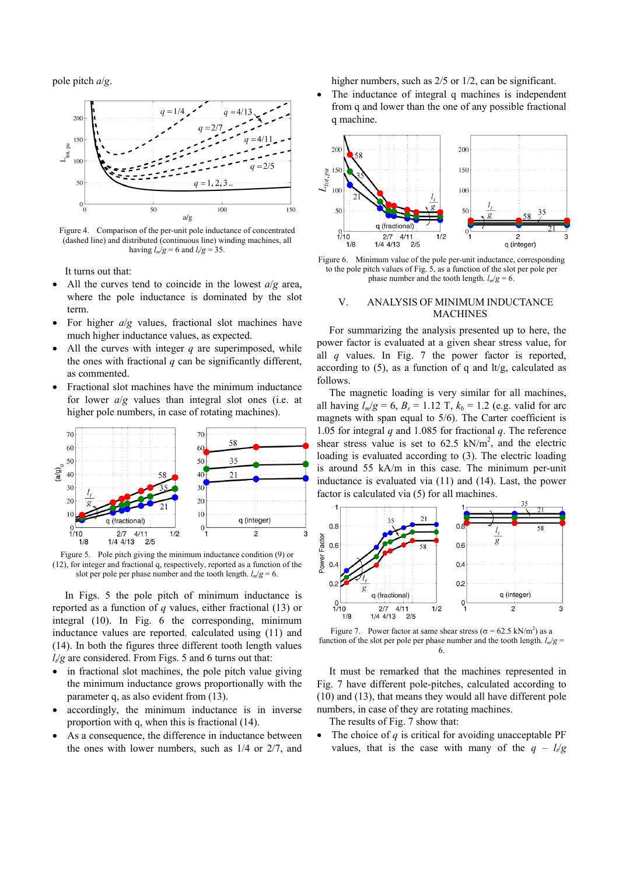pole pitch *a*/*g*.



Figure 4. Comparison of the per-unit pole inductance of concentrated (dashed line) and distributed (continuous line) winding machines, all having  $l_m/g = 6$  and  $l_f/g = 35$ .

It turns out that:

- All the curves tend to coincide in the lowest *a*/*g* area, where the pole inductance is dominated by the slot term.
- For higher *a*/*g* values, fractional slot machines have much higher inductance values, as expected.
- All the curves with integer *q* are superimposed, while the ones with fractional  $q$  can be significantly different. as commented.
- Fractional slot machines have the minimum inductance for lower *a*/*g* values than integral slot ones (i.e. at higher pole numbers, in case of rotating machines).



Figure 5. Pole pitch giving the minimum inductance condition (9) or (12), for integer and fractional q, respectively, reported as a function of the slot per pole per phase number and the tooth length.  $l_m/g = 6$ .

In Figs. 5 the pole pitch of minimum inductance is reported as a function of *q* values, either fractional (13) or integral (10). In Fig. 6 the corresponding, minimum inductance values are reported, calculated using (11) and (14). In both the figures three different tooth length values  $l_t/g$  are considered. From Figs. 5 and 6 turns out that:

- in fractional slot machines, the pole pitch value giving the minimum inductance grows proportionally with the parameter q, as also evident from (13).
- accordingly, the minimum inductance is in inverse proportion with q, when this is fractional (14).
- As a consequence, the difference in inductance between the ones with lower numbers, such as 1/4 or 2/7, and

higher numbers, such as  $2/5$  or  $1/2$ , can be significant.

The inductance of integral q machines is independent from q and lower than the one of any possible fractional q machine.



Figure 6. Minimum value of the pole per-unit inductance, corresponding to the pole pitch values of Fig. 5, as a function of the slot per pole per phase number and the tooth length.  $l_m/g = 6$ .

## V. ANALYSIS OF MINIMUM INDUCTANCE MACHINES

For summarizing the analysis presented up to here, the power factor is evaluated at a given shear stress value, for all *q* values. In Fig. 7 the power factor is reported, according to  $(5)$ , as a function of q and  $\frac{1}{2}$ , calculated as follows.

The magnetic loading is very similar for all machines, all having  $l_m/e = 6$ ,  $B_r = 1.12$  T,  $k_b = 1.2$  (e.g. valid for arc magnets with span equal to 5/6). The Carter coefficient is 1.05 for integral *q* and 1.085 for fractional *q*. The reference shear stress value is set to  $62.5 \text{ kN/m}^2$ , and the electric loading is evaluated according to (3). The electric loading is around 55 kA/m in this case. The minimum per-unit inductance is evaluated via (11) and (14). Last, the power factor is calculated via (5) for all machines.



Figure 7. Power factor at same shear stress ( $\sigma = 62.5 \text{ kN/m}^2$ ) as a function of the slot per pole per phase number and the tooth length.  $l_m/g =$ 6.

It must be remarked that the machines represented in Fig. 7 have different pole-pitches, calculated according to (10) and (13), that means they would all have different pole numbers, in case of they are rotating machines.

The results of Fig. 7 show that:

• The choice of *q* is critical for avoiding unacceptable PF values, that is the case with many of the  $q - l_{\ell}/g$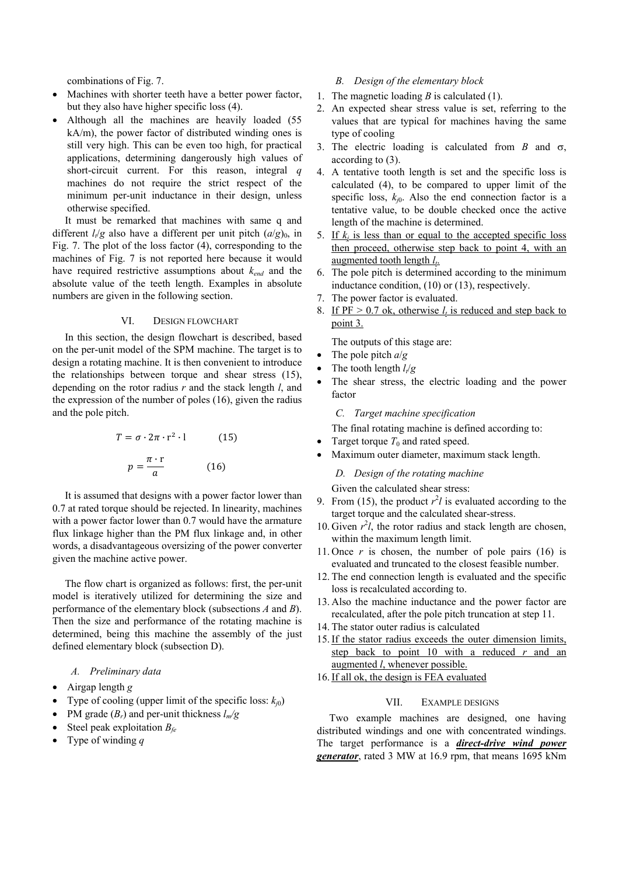combinations of Fig. 7.

- Machines with shorter teeth have a better power factor, but they also have higher specific loss (4).
- Although all the machines are heavily loaded (55) kA/m), the power factor of distributed winding ones is still very high. This can be even too high, for practical applications, determining dangerously high values of short-circuit current. For this reason, integral *q* machines do not require the strict respect of the minimum per-unit inductance in their design, unless otherwise specified.

It must be remarked that machines with same q and different  $l_i/g$  also have a different per unit pitch  $(a/g)_0$ , in Fig. 7. The plot of the loss factor (4), corresponding to the machines of Fig. 7 is not reported here because it would have required restrictive assumptions about *kend* and the absolute value of the teeth length. Examples in absolute numbers are given in the following section.

#### VI. DESIGN FLOWCHART

In this section, the design flowchart is described, based on the per-unit model of the SPM machine. The target is to design a rotating machine. It is then convenient to introduce the relationships between torque and shear stress (15), depending on the rotor radius *r* and the stack length *l*, and the expression of the number of poles (16), given the radius and the pole pitch.

$$
T = \sigma \cdot 2\pi \cdot r^{2} \cdot l \qquad (15)
$$

$$
p = \frac{\pi \cdot r}{a} \qquad (16)
$$

It is assumed that designs with a power factor lower than 0.7 at rated torque should be rejected. In linearity, machines with a power factor lower than 0.7 would have the armature flux linkage higher than the PM flux linkage and, in other words, a disadvantageous oversizing of the power converter given the machine active power.

The flow chart is organized as follows: first, the per-unit model is iteratively utilized for determining the size and performance of the elementary block (subsections *A* and *B*). Then the size and performance of the rotating machine is determined, being this machine the assembly of the just defined elementary block (subsection D).

#### *A. Preliminary data*

- Airgap length *g*
- Type of cooling (upper limit of the specific loss:  $k_{i0}$ )
- PM grade  $(B_r)$  and per-unit thickness  $l_m/g$
- Steel peak exploitation *Bfe*
- Type of winding *q*

#### *B. Design of the elementary block*

- 1. The magnetic loading *B* is calculated (1).
- 2. An expected shear stress value is set, referring to the values that are typical for machines having the same type of cooling
- 3. The electric loading is calculated from  $B$  and  $\sigma$ , according to (3).
- 4. A tentative tooth length is set and the specific loss is calculated (4), to be compared to upper limit of the specific loss,  $k_{j0}$ . Also the end connection factor is a tentative value, to be double checked once the active length of the machine is determined.
- 5. If  $k_j$  is less than or equal to the accepted specific loss then proceed, otherwise step back to point 4, with an augmented tooth length *lt*.
- 6. The pole pitch is determined according to the minimum inductance condition, (10) or (13), respectively.
- 7. The power factor is evaluated.
- 8. If  $PF > 0.7$  ok, otherwise  $l_t$  is reduced and step back to point 3.

The outputs of this stage are:

- The pole pitch *a*/*g*
- The tooth length  $l_{\ell}/g$
- The shear stress, the electric loading and the power factor

*C. Target machine specification* 

The final rotating machine is defined according to:

- Target torque  $T_0$  and rated speed.
- Maximum outer diameter, maximum stack length.

*D. Design of the rotating machine* 

Given the calculated shear stress:

- 9. From (15), the product  $r^2 l$  is evaluated according to the target torque and the calculated shear-stress.
- 10. Given  $r^2 l$ , the rotor radius and stack length are chosen, within the maximum length limit.
- 11. Once  $r$  is chosen, the number of pole pairs (16) is evaluated and truncated to the closest feasible number.
- 12. The end connection length is evaluated and the specific loss is recalculated according to.
- 13. Also the machine inductance and the power factor are recalculated, after the pole pitch truncation at step 11.
- 14. The stator outer radius is calculated
- 15. If the stator radius exceeds the outer dimension limits, step back to point 10 with a reduced *r* and an augmented *l*, whenever possible.
- 16. If all ok, the design is FEA evaluated

#### VII. EXAMPLE DESIGNS

Two example machines are designed, one having distributed windings and one with concentrated windings. The target performance is a *direct-drive wind power generator*, rated 3 MW at 16.9 rpm, that means 1695 kNm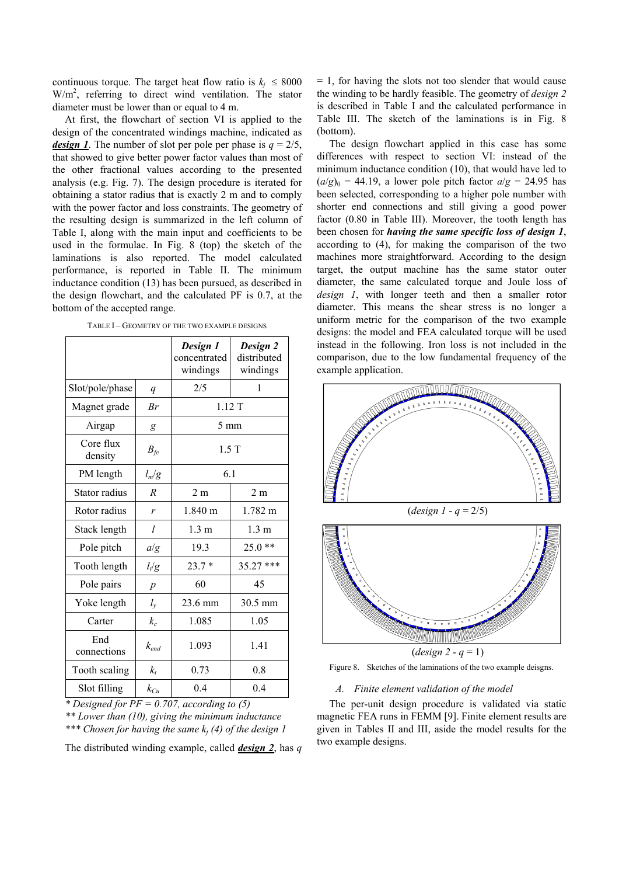continuous torque. The target heat flow ratio is  $k_i \leq 8000$ W/m<sup>2</sup>, referring to direct wind ventilation. The stator diameter must be lower than or equal to 4 m.

At first, the flowchart of section VI is applied to the design of the concentrated windings machine, indicated as *design 1*. The number of slot per pole per phase is  $q = 2/5$ , that showed to give better power factor values than most of the other fractional values according to the presented analysis (e.g. Fig. 7). The design procedure is iterated for obtaining a stator radius that is exactly 2 m and to comply with the power factor and loss constraints. The geometry of the resulting design is summarized in the left column of Table I, along with the main input and coefficients to be used in the formulae. In Fig. 8 (top) the sketch of the laminations is also reported. The model calculated performance, is reported in Table II. The minimum inductance condition (13) has been pursued, as described in the design flowchart, and the calculated PF is 0.7, at the bottom of the accepted range.

TABLE I – GEOMETRY OF THE TWO EXAMPLE DESIGNS

|                      |                  | Design 1<br>concentrated<br>windings | Design 2<br>distributed<br>windings |
|----------------------|------------------|--------------------------------------|-------------------------------------|
| Slot/pole/phase      | $\boldsymbol{q}$ | 2/5                                  | 1                                   |
| Magnet grade         | Br               | 1.12T                                |                                     |
| Airgap               | g                | $5 \text{ mm}$                       |                                     |
| Core flux<br>density | $B_{fe}$         | 1.5T                                 |                                     |
| PM length            | $l_m/g$          | 6.1                                  |                                     |
| Stator radius        | R                | 2 <sub>m</sub>                       | 2 <sub>m</sub>                      |
| Rotor radius         | r                | $1.840 \; m$                         | 1.782 m                             |
| Stack length         | l                | $1.3 \text{ m}$                      | $1.3 \text{ m}$                     |
| Pole pitch           | a/g              | 19.3                                 | $***$<br>25.0                       |
| Tooth length         | $l_t/g$          | $23.7*$                              | ***<br>35.27                        |
| Pole pairs           | $\overline{p}$   | 60                                   | 45                                  |
| Yoke length          | $l_{y}$          | 23.6 mm                              | 30.5 mm                             |
| Carter               | $k_c$            | 1.085                                | 1.05                                |
| End<br>connections   | $k_{end}$        | 1.093                                | 1.41                                |
| Tooth scaling        | $k_{t}$          | 0.73                                 | 0.8                                 |
| Slot filling         | $k_{Cu}$         | 0.4                                  | 0.4                                 |

*\* Designed for PF = 0.707, according to (5)* 

*\*\* Lower than (10), giving the minimum inductance \*\*\* Chosen for having the same kj (4) of the design 1* 

The distributed winding example, called *design 2*, has *q*

 $= 1$ , for having the slots not too slender that would cause the winding to be hardly feasible. The geometry of *design 2* is described in Table I and the calculated performance in Table III. The sketch of the laminations is in Fig. 8 (bottom).

The design flowchart applied in this case has some differences with respect to section VI: instead of the minimum inductance condition (10), that would have led to  $(a/g)_0 = 44.19$ , a lower pole pitch factor  $a/g = 24.95$  has been selected, corresponding to a higher pole number with shorter end connections and still giving a good power factor (0.80 in Table III). Moreover, the tooth length has been chosen for *having the same specific loss of design 1*, according to (4), for making the comparison of the two machines more straightforward. According to the design target, the output machine has the same stator outer diameter, the same calculated torque and Joule loss of *design 1*, with longer teeth and then a smaller rotor diameter. This means the shear stress is no longer a uniform metric for the comparison of the two example designs: the model and FEA calculated torque will be used instead in the following. Iron loss is not included in the comparison, due to the low fundamental frequency of the example application.





Figure 8. Sketches of the laminations of the two example deisgns.

#### *A. Finite element validation of the model*

The per-unit design procedure is validated via static magnetic FEA runs in FEMM [9]. Finite element results are given in Tables II and III, aside the model results for the two example designs.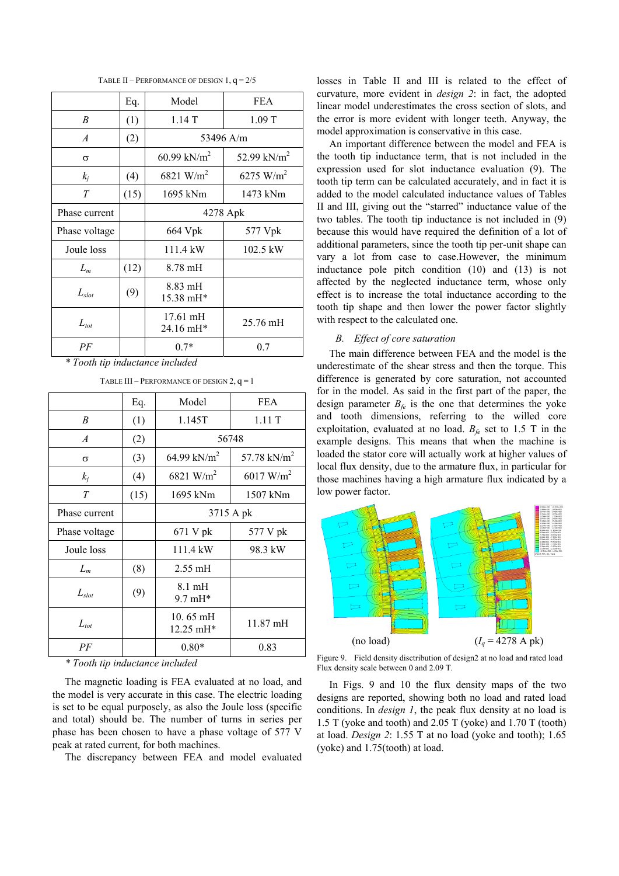|                | Eq.  | Model                           | <b>FEA</b>              |  |
|----------------|------|---------------------------------|-------------------------|--|
| B              | (1)  | 1.14T                           | 1.09T                   |  |
| $\overline{A}$ | (2)  | 53496 A/m                       |                         |  |
| $\sigma$       |      | 60.99 kN/m <sup>2</sup>         | 52.99 kN/m <sup>2</sup> |  |
| $k_i$          | (4)  | 6821 W/m <sup>2</sup>           | 6275 W/m <sup>2</sup>   |  |
| $\tau$         | (15) | 1695 kNm                        | 1473 kNm                |  |
| Phase current  |      | 4278 Apk                        |                         |  |
| Phase voltage  |      | 664 Vpk                         | 577 Vpk                 |  |
| Joule loss     |      | 111.4 kW                        | 102.5 kW                |  |
| $L_m$          | (12) | $8.78 \text{ mH}$               |                         |  |
| $L_{slot}$     | (9)  | $8.83 \text{ mH}$<br>15.38 mH*  |                         |  |
| $L_{tot}$      |      | $17.61 \text{ mH}$<br>24.16 mH* | 25.76 mH                |  |
| PF             |      | $0.7*$                          | 0.7                     |  |

TABLE II – PERFORMANCE OF DESIGN  $1, q = 2/5$ 

*\* Tooth tip inductance included* 

|                              | Eq.  | Model                                  | FEA                |  |
|------------------------------|------|----------------------------------------|--------------------|--|
| B                            | (1)  | 1.145T                                 | 1.11T              |  |
| $\boldsymbol{A}$             | (2)  | 56748                                  |                    |  |
| σ                            | (3)  | 64.99 kN/m <sup>2</sup>                | 57.78 $kN/m^2$     |  |
| $k_i$                        | (4)  | 6821 W/m <sup>2</sup>                  | 6017 $W/m^2$       |  |
| T                            | (15) | 1695 kNm                               | 1507 kNm           |  |
| Phase current                |      | 3715 A pk                              |                    |  |
| Phase voltage                |      | 671 V pk                               | 577 V pk           |  |
| Joule loss                   |      | 111.4 kW                               | 98.3 kW            |  |
| $L_m$                        | (8)  | $2.55 \text{ mH}$                      |                    |  |
| $L_{slot}$                   | (9)  | $8.1 \text{ mH}$<br>$9.7 \text{ mH}^*$ |                    |  |
| $L_{tot}$                    |      | 10.65 mH<br>12.25 mH*                  | $11.87 \text{ mH}$ |  |
| PF<br>$*$ $T = 1$ $$ $1$ $1$ |      | $0.80*$<br>$\cdot$ 1 1 1               | 0.83               |  |

TABLE III – PERFORMANCE OF DESIGN  $2, q = 1$ 

*\* Tooth tip inductance included* 

The magnetic loading is FEA evaluated at no load, and the model is very accurate in this case. The electric loading is set to be equal purposely, as also the Joule loss (specific and total) should be. The number of turns in series per phase has been chosen to have a phase voltage of 577 V peak at rated current, for both machines.

The discrepancy between FEA and model evaluated

losses in Table II and III is related to the effect of curvature, more evident in *design 2*: in fact, the adopted linear model underestimates the cross section of slots, and the error is more evident with longer teeth. Anyway, the model approximation is conservative in this case.

An important difference between the model and FEA is the tooth tip inductance term, that is not included in the expression used for slot inductance evaluation (9). The tooth tip term can be calculated accurately, and in fact it is added to the model calculated inductance values of Tables II and III, giving out the "starred" inductance value of the two tables. The tooth tip inductance is not included in (9) because this would have required the definition of a lot of additional parameters, since the tooth tip per-unit shape can vary a lot from case to case.However, the minimum inductance pole pitch condition (10) and (13) is not affected by the neglected inductance term, whose only effect is to increase the total inductance according to the tooth tip shape and then lower the power factor slightly with respect to the calculated one.

# *B. Effect of core saturation*

The main difference between FEA and the model is the underestimate of the shear stress and then the torque. This difference is generated by core saturation, not accounted for in the model. As said in the first part of the paper, the design parameter  $B_f$ <sub>e</sub> is the one that determines the yoke and tooth dimensions, referring to the willed core exploitation, evaluated at no load.  $B_f$  set to 1.5 T in the example designs. This means that when the machine is loaded the stator core will actually work at higher values of local flux density, due to the armature flux, in particular for those machines having a high armature flux indicated by a low power factor.



Figure 9. Field density disctribution of design2 at no load and rated load Flux density scale between 0 and 2.09 T.

In Figs. 9 and 10 the flux density maps of the two designs are reported, showing both no load and rated load conditions. In *design 1*, the peak flux density at no load is 1.5 T (yoke and tooth) and 2.05 T (yoke) and 1.70 T (tooth) at load. *Design 2*: 1.55 T at no load (yoke and tooth); 1.65 (yoke) and 1.75(tooth) at load.